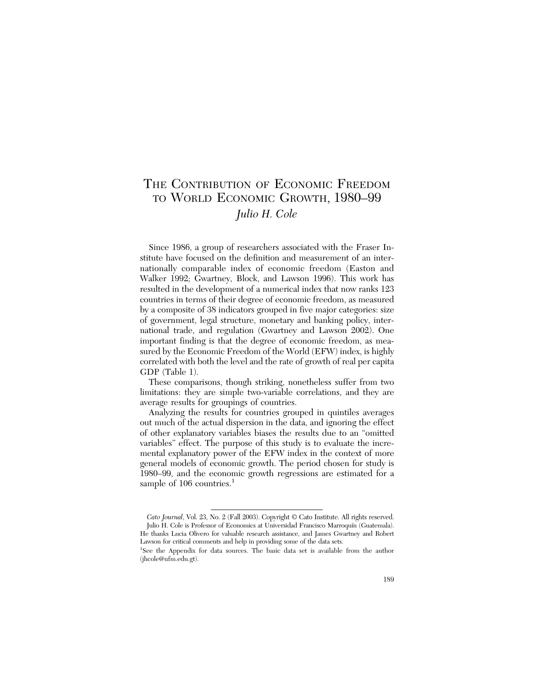# THE CONTRIBUTION OF ECONOMIC FREEDOM TO WORLD ECONOMIC GROWTH, 1980–99 *Julio H. Cole*

Since 1986, a group of researchers associated with the Fraser Institute have focused on the definition and measurement of an internationally comparable index of economic freedom (Easton and Walker 1992; Gwartney, Block, and Lawson 1996). This work has resulted in the development of a numerical index that now ranks 123 countries in terms of their degree of economic freedom, as measured by a composite of 38 indicators grouped in five major categories: size of government, legal structure, monetary and banking policy, international trade, and regulation (Gwartney and Lawson 2002). One important finding is that the degree of economic freedom, as measured by the Economic Freedom of the World (EFW) index, is highly correlated with both the level and the rate of growth of real per capita GDP (Table 1).

These comparisons, though striking, nonetheless suffer from two limitations: they are simple two-variable correlations, and they are average results for groupings of countries.

Analyzing the results for countries grouped in quintiles averages out much of the actual dispersion in the data, and ignoring the effect of other explanatory variables biases the results due to an "omitted variables" effect. The purpose of this study is to evaluate the incremental explanatory power of the EFW index in the context of more general models of economic growth. The period chosen for study is 1980–99, and the economic growth regressions are estimated for a sample of  $106$  countries.<sup>1</sup>

*Cato Journal*, Vol. 23, No. 2 (Fall 2003). Copyright © Cato Institute. All rights reserved. Julio H. Cole is Professor of Economics at Universidad Francisco Marroquín (Guatemala). He thanks Lucia Olivero for valuable research assistance, and James Gwartney and Robert Lawson for critical comments and help in providing some of the data sets.

<sup>&</sup>lt;sup>1</sup>See the Appendix for data sources. The basic data set is available from the author (jhcole@ufm.edu.gt).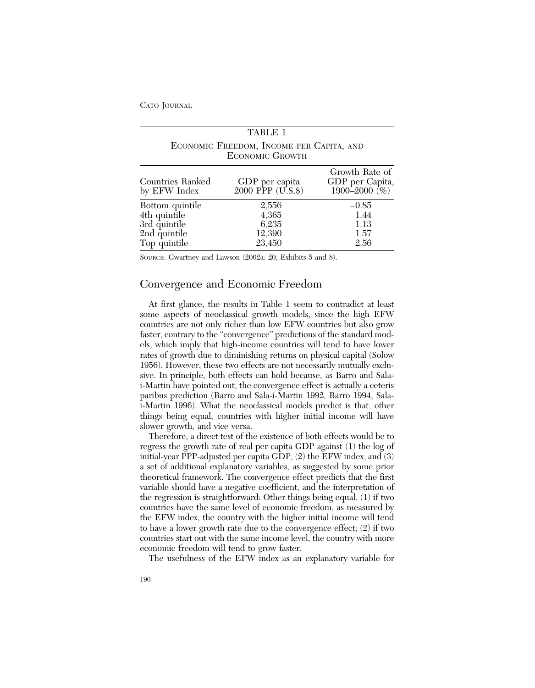|                                                                                 | TABLE 1                                                            |                                                    |
|---------------------------------------------------------------------------------|--------------------------------------------------------------------|----------------------------------------------------|
|                                                                                 | ECONOMIC FREEDOM, INCOME PER CAPITA, AND<br><b>ECONOMIC GROWTH</b> |                                                    |
| Countries Ranked<br>by EFW Index                                                | GDP per capita<br>2000 PPP (U.S.\$)                                | Growth Rate of<br>GDP per Capita,<br>1900–2000 (%) |
| Bottom quintile<br>4th quintile<br>3rd quintile<br>2nd quintile<br>Top quintile | 2,556<br>4,365<br>6,235<br>12,390<br>23,450                        | $-0.85$<br>1.44<br>1.13<br>1.57<br>2.56            |

SOURCE: Gwartney and Lawson (2002a: 20, Exhibits 5 and 8).

# Convergence and Economic Freedom

At first glance, the results in Table 1 seem to contradict at least some aspects of neoclassical growth models, since the high EFW countries are not only richer than low EFW countries but also grow faster, contrary to the "convergence" predictions of the standard models, which imply that high-income countries will tend to have lower rates of growth due to diminishing returns on physical capital (Solow 1956). However, these two effects are not necessarily mutually exclusive. In principle, both effects can hold because, as Barro and Salai-Martin have pointed out, the convergence effect is actually a ceteris paribus prediction (Barro and Sala-i-Martin 1992, Barro 1994, Salai-Martin 1996). What the neoclassical models predict is that, other things being equal, countries with higher initial income will have slower growth, and vice versa.

Therefore, a direct test of the existence of both effects would be to regress the growth rate of real per capita GDP against (1) the log of initial-year PPP-adjusted per capita GDP, (2) the EFW index, and (3) a set of additional explanatory variables, as suggested by some prior theoretical framework. The convergence effect predicts that the first variable should have a negative coefficient, and the interpretation of the regression is straightforward: Other things being equal, (1) if two countries have the same level of economic freedom, as measured by the EFW index, the country with the higher initial income will tend to have a lower growth rate due to the convergence effect; (2) if two countries start out with the same income level, the country with more economic freedom will tend to grow faster.

The usefulness of the EFW index as an explanatory variable for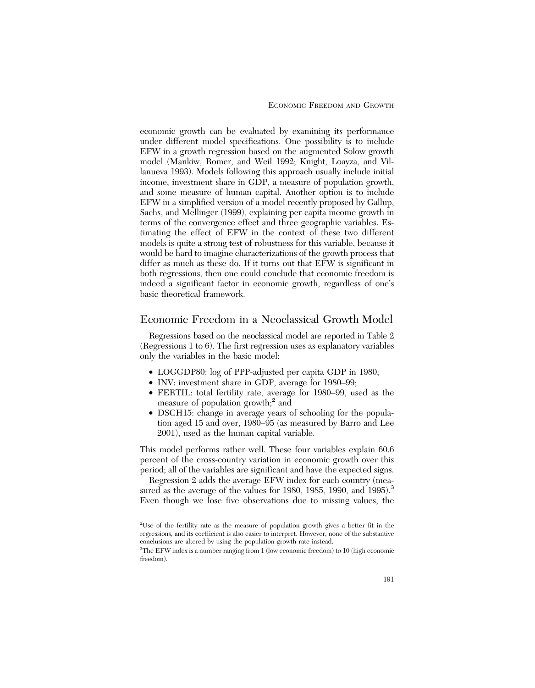economic growth can be evaluated by examining its performance under different model specifications. One possibility is to include EFW in a growth regression based on the augmented Solow growth model (Mankiw, Romer, and Weil 1992; Knight, Loayza, and Villanueva 1993). Models following this approach usually include initial income, investment share in GDP, a measure of population growth, and some measure of human capital. Another option is to include EFW in a simplified version of a model recently proposed by Gallup, Sachs, and Mellinger (1999), explaining per capita income growth in terms of the convergence effect and three geographic variables. Estimating the effect of EFW in the context of these two different models is quite a strong test of robustness for this variable, because it would be hard to imagine characterizations of the growth process that differ as much as these do. If it turns out that EFW is significant in both regressions, then one could conclude that economic freedom is indeed a significant factor in economic growth, regardless of one's basic theoretical framework.

#### Economic Freedom in a Neoclassical Growth Model

Regressions based on the neoclassical model are reported in Table 2 (Regressions 1 to 6). The first regression uses as explanatory variables only the variables in the basic model:

- LOGGDP80: log of PPP-adjusted per capita GDP in 1980;
- INV: investment share in GDP, average for 1980–99;
- FERTIL: total fertility rate, average for 1980–99, used as the measure of population growth;<sup>2</sup> and
- DSCH15: change in average years of schooling for the population aged 15 and over, 1980–95 (as measured by Barro and Lee 2001), used as the human capital variable.

This model performs rather well. These four variables explain 60.6 percent of the cross-country variation in economic growth over this period; all of the variables are significant and have the expected signs.

Regression 2 adds the average EFW index for each country (measured as the average of the values for 1980, 1985, 1990, and 1995).<sup>3</sup> Even though we lose five observations due to missing values, the

<sup>2</sup> Use of the fertility rate as the measure of population growth gives a better fit in the regressions, and its coefficient is also easier to interpret. However, none of the substantive conclusions are altered by using the population growth rate instead.

<sup>&</sup>lt;sup>3</sup>The EFW index is a number ranging from 1 (low economic freedom) to 10 (high economic freedom).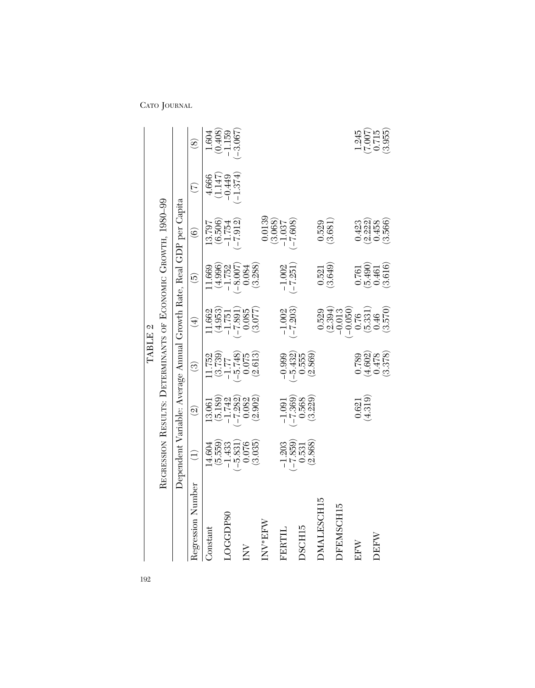|                      |                                              |                                                                        |                                                                                     | TABLE 2                                                               |                                                                     |                                                                     |                       |                                                    |
|----------------------|----------------------------------------------|------------------------------------------------------------------------|-------------------------------------------------------------------------------------|-----------------------------------------------------------------------|---------------------------------------------------------------------|---------------------------------------------------------------------|-----------------------|----------------------------------------------------|
|                      |                                              |                                                                        |                                                                                     |                                                                       |                                                                     | REGRESSION RESULTS: DETERMINANTS OF ECONOMIC GROWTH, 1980-99        |                       |                                                    |
|                      |                                              |                                                                        |                                                                                     |                                                                       |                                                                     | Dependent Variable: Average Annual Growth Rate, Real GDP per Capita |                       |                                                    |
| Regression Number    | $\widehat{\ominus}$                          | $\widehat{\mathfrak{D}}$                                               | $\odot$                                                                             | $\bigoplus$                                                           | $\widehat{5}$                                                       | $\widehat{\mathbf{e}}$                                              | E                     | $\circledS$                                        |
| Constant             | 14.604                                       | 13.061                                                                 |                                                                                     | 1.662                                                                 | 1.669                                                               | 13.797                                                              | 4.666                 | L604                                               |
| LOGGDP80             |                                              |                                                                        |                                                                                     |                                                                       | $(4.996)$<br>-1.752                                                 | $(6.506)$<br>$-1.754$<br>$(-7.912)$                                 | $(1.147)$<br>$-0.449$ | $(0.408)$<br>-1.159                                |
| $\sum_{i=1}^{n}$     | $(5.559)$<br>$-1.433$<br>$(-5.831)$<br>0.076 | $(5.189)$<br>$-1.742$<br>$(-7.282)$<br>$(-7.282)$                      | $\begin{array}{c} 11.752 \\ (3.739) \\ (-5.77) \\ (-5.748) \\ (-6.075) \end{array}$ | $\begin{array}{c} (4.953) \\ -1.751 \\ (-7.891) \\ 0.085 \end{array}$ | $(-8.007)$<br>0.084                                                 |                                                                     | $-1.374)$             | $-3.067$                                           |
|                      | (3.035)                                      | (2.902)                                                                | (2.613)                                                                             | (3.077)                                                               | (3.288)                                                             |                                                                     |                       |                                                    |
| INV <sup>*</sup> EFW |                                              |                                                                        |                                                                                     |                                                                       |                                                                     | 0.0139                                                              |                       |                                                    |
| FERTI                |                                              |                                                                        | $-0.999$                                                                            |                                                                       |                                                                     | $(3.068)$<br>-1.037                                                 |                       |                                                    |
|                      |                                              |                                                                        |                                                                                     | $\frac{-1.002}{(-7.203)}$                                             | $\frac{-1.002}{(-7.251)}$                                           | $-7.608$ )                                                          |                       |                                                    |
| DSCH15               | $\frac{-1.203}{-7.859}$<br>0.531<br>(2.868)  | $\begin{array}{r} -1.091 \\ (-7.369) \\ 0.568 \end{array}$<br>(93.229) | $\begin{array}{c} (-5.432) \\ 0.555 \\ (2.869) \end{array}$                         |                                                                       |                                                                     |                                                                     |                       |                                                    |
| DMALESCH15           |                                              |                                                                        |                                                                                     | 0.529                                                                 | 0.521                                                               | 0.529                                                               |                       |                                                    |
|                      |                                              |                                                                        |                                                                                     | (2.394)                                                               | (3.649)                                                             | (3.681)                                                             |                       |                                                    |
| DFEMSCH15            |                                              |                                                                        |                                                                                     | $\frac{-0.013}{-0.050}$                                               |                                                                     |                                                                     |                       |                                                    |
| $_{\rm{EFN}}$        |                                              |                                                                        |                                                                                     |                                                                       |                                                                     | 0.423                                                               |                       |                                                    |
|                      |                                              | $\frac{0.621}{(4.319)}$                                                | $\begin{array}{c} 0.789 \\ (4.602) \\ 0.478 \\ (3.378) \end{array}$                 | $\begin{array}{c} (5.331) \\ 0.46 \\ (3.570) \end{array}$             | $\begin{array}{c} 0.761 \\ (5.490) \\ 0.461 \\ (3.616) \end{array}$ | $(2.222)$<br>0.458                                                  |                       | $\frac{1.245}{(7.007)}$<br>$\frac{(7.007)}{0.715}$ |
| DEFW                 |                                              |                                                                        |                                                                                     |                                                                       |                                                                     |                                                                     |                       |                                                    |
|                      |                                              |                                                                        |                                                                                     |                                                                       |                                                                     | (3.566)                                                             |                       |                                                    |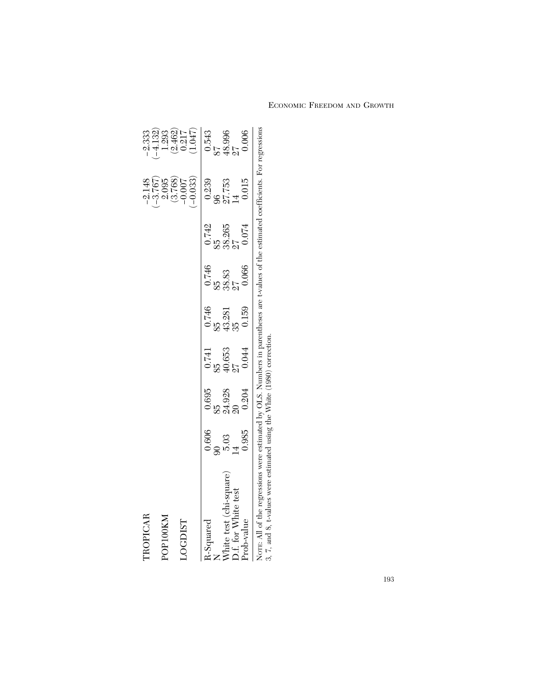| TROPICAR                                                                                                                                                                                                         |       |        |        |              |                 |              | $-2.148$            | $-2.333$           |
|------------------------------------------------------------------------------------------------------------------------------------------------------------------------------------------------------------------|-------|--------|--------|--------------|-----------------|--------------|---------------------|--------------------|
| POP100KM                                                                                                                                                                                                         |       |        |        |              |                 |              | $-3.767$<br>2.095   | $-4.132$<br>1.293  |
| <b>LOGDIST</b>                                                                                                                                                                                                   |       |        |        |              |                 |              | (3.768)<br>$-0.007$ | $(2.462)$<br>0.217 |
|                                                                                                                                                                                                                  |       |        |        |              |                 |              | $-0.033$            | 1.047              |
| R-Squared                                                                                                                                                                                                        | 0.606 | 0.695  | 0.741  | 0.746        | 0.746           | 0.742        | 0.239               | 0.543              |
|                                                                                                                                                                                                                  |       | 85     | 85     |              | $\frac{55}{25}$ | ηs<br>Σ      | 96                  |                    |
| White test (chi-square)                                                                                                                                                                                          | 5.03  | 24.928 | 40.653 | 43.281<br>35 | 38.83<br>27     | 38.265<br>27 | 27.753              | 48.996<br>27       |
| 2.f. for White test                                                                                                                                                                                              |       |        |        |              |                 |              |                     |                    |
| Prob-value                                                                                                                                                                                                       | 0.985 | 0.204  | 0.044  | 0.159        | 0.066           | 0.074        | 0.015               | 0.006              |
| Norg: All of the regressions were estimated by OLS. Numbers in parentheses are t-values of the estimated coefficients. For regressions<br>3, 7, and 8, t-values were estimated using the White (1980) correction |       |        |        |              |                 |              |                     |                    |
|                                                                                                                                                                                                                  |       |        |        |              |                 |              |                     |                    |

ECONOMIC FREEDOM AND GROWTH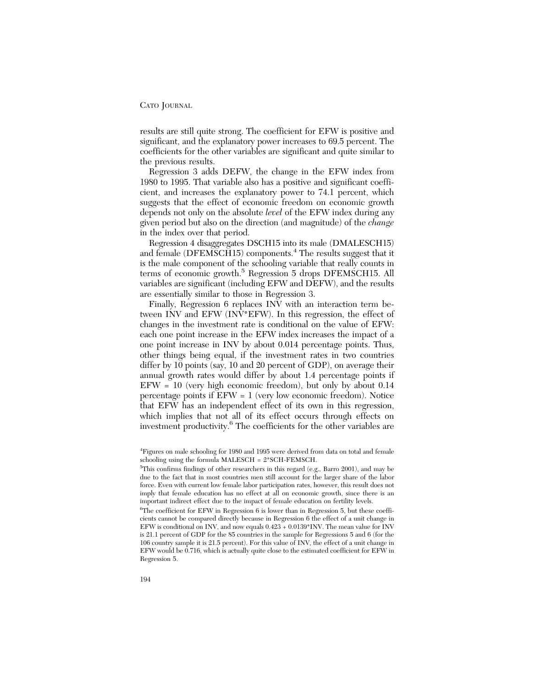results are still quite strong. The coefficient for EFW is positive and significant, and the explanatory power increases to 69.5 percent. The coefficients for the other variables are significant and quite similar to the previous results.

Regression 3 adds DEFW, the change in the EFW index from 1980 to 1995. That variable also has a positive and significant coefficient, and increases the explanatory power to 74.1 percent, which suggests that the effect of economic freedom on economic growth depends not only on the absolute *level* of the EFW index during any given period but also on the direction (and magnitude) of the *change* in the index over that period.

Regression 4 disaggregates DSCH15 into its male (DMALESCH15) and female (DFEMSCH15) components.<sup>4</sup> The results suggest that it is the male component of the schooling variable that really counts in terms of economic growth.<sup>5</sup> Regression 5 drops DFEMSCH15. All variables are significant (including EFW and DEFW), and the results are essentially similar to those in Regression 3.

Finally, Regression 6 replaces INV with an interaction term between INV and EFW (INV\*EFW). In this regression, the effect of changes in the investment rate is conditional on the value of EFW: each one point increase in the EFW index increases the impact of a one point increase in INV by about 0.014 percentage points. Thus, other things being equal, if the investment rates in two countries differ by 10 points (say, 10 and 20 percent of GDP), on average their annual growth rates would differ by about 1.4 percentage points if EFW = 10 (very high economic freedom), but only by about 0.14 percentage points if EFW = 1 (very low economic freedom). Notice that EFW has an independent effect of its own in this regression, which implies that not all of its effect occurs through effects on investment productivity.6 The coefficients for the other variables are

<sup>4</sup> Figures on male schooling for 1980 and 1995 were derived from data on total and female schooling using the formula MALESCH = 2\*SCH-FEMSCH.

<sup>5</sup> This confirms findings of other researchers in this regard (e.g., Barro 2001), and may be due to the fact that in most countries men still account for the larger share of the labor force. Even with current low female labor participation rates, however, this result does not imply that female education has no effect at all on economic growth, since there is an important indirect effect due to the impact of female education on fertility levels.

<sup>&</sup>lt;sup>6</sup>The coefficient for EFW in Regression 6 is lower than in Regression 5, but these coefficients cannot be compared directly because in Regression 6 the effect of a unit change in EFW is conditional on INV, and now equals 0.423 + 0.0139\*INV. The mean value for INV is 21.1 percent of GDP for the 85 countries in the sample for Regressions 5 and 6 (for the 106 country sample it is 21.5 percent). For this value of INV, the effect of a unit change in EFW would be 0.716, which is actually quite close to the estimated coefficient for EFW in Regression 5.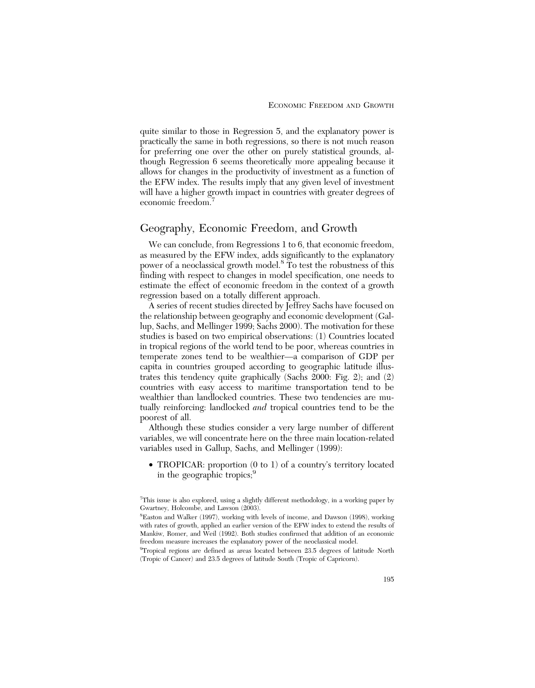quite similar to those in Regression 5, and the explanatory power is practically the same in both regressions, so there is not much reason for preferring one over the other on purely statistical grounds, although Regression 6 seems theoretically more appealing because it allows for changes in the productivity of investment as a function of the EFW index. The results imply that any given level of investment will have a higher growth impact in countries with greater degrees of economic freedom.<sup>7</sup>

# Geography, Economic Freedom, and Growth

We can conclude, from Regressions 1 to 6, that economic freedom, as measured by the EFW index, adds significantly to the explanatory power of a neoclassical growth model.<sup>8</sup> To test the robustness of this finding with respect to changes in model specification, one needs to estimate the effect of economic freedom in the context of a growth regression based on a totally different approach.

A series of recent studies directed by Jeffrey Sachs have focused on the relationship between geography and economic development (Gallup, Sachs, and Mellinger 1999; Sachs 2000). The motivation for these studies is based on two empirical observations: (1) Countries located in tropical regions of the world tend to be poor, whereas countries in temperate zones tend to be wealthier—a comparison of GDP per capita in countries grouped according to geographic latitude illustrates this tendency quite graphically (Sachs 2000: Fig. 2); and (2) countries with easy access to maritime transportation tend to be wealthier than landlocked countries. These two tendencies are mutually reinforcing: landlocked *and* tropical countries tend to be the poorest of all.

Although these studies consider a very large number of different variables, we will concentrate here on the three main location-related variables used in Gallup, Sachs, and Mellinger (1999):

• TROPICAR: proportion (0 to 1) of a country's territory located in the geographic tropics;<sup>9</sup>

<sup>&</sup>lt;sup>7</sup>This issue is also explored, using a slightly different methodology, in a working paper by Gwartney, Holcombe, and Lawson (2003).

<sup>8</sup> Easton and Walker (1997), working with levels of income, and Dawson (1998), working with rates of growth, applied an earlier version of the EFW index to extend the results of Mankiw, Romer, and Weil (1992). Both studies confirmed that addition of an economic freedom measure increases the explanatory power of the neoclassical model.

<sup>&</sup>lt;sup>9</sup>Tropical regions are defined as areas located between 23.5 degrees of latitude North (Tropic of Cancer) and 23.5 degrees of latitude South (Tropic of Capricorn).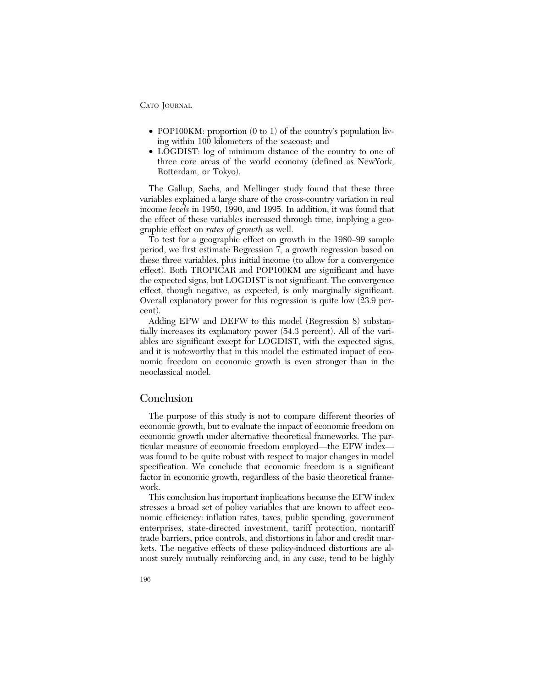- POP100KM: proportion (0 to 1) of the country's population living within 100 kilometers of the seacoast; and
- LOGDIST: log of minimum distance of the country to one of three core areas of the world economy (defined as NewYork, Rotterdam, or Tokyo).

The Gallup, Sachs, and Mellinger study found that these three variables explained a large share of the cross-country variation in real income *levels* in 1950, 1990, and 1995. In addition, it was found that the effect of these variables increased through time, implying a geographic effect on *rates of growth* as well.

To test for a geographic effect on growth in the 1980–99 sample period, we first estimate Regression 7, a growth regression based on these three variables, plus initial income (to allow for a convergence effect). Both TROPICAR and POP100KM are significant and have the expected signs, but LOGDIST is not significant. The convergence effect, though negative, as expected, is only marginally significant. Overall explanatory power for this regression is quite low (23.9 percent).

Adding EFW and DEFW to this model (Regression 8) substantially increases its explanatory power (54.3 percent). All of the variables are significant except for LOGDIST, with the expected signs, and it is noteworthy that in this model the estimated impact of economic freedom on economic growth is even stronger than in the neoclassical model.

# Conclusion

The purpose of this study is not to compare different theories of economic growth, but to evaluate the impact of economic freedom on economic growth under alternative theoretical frameworks. The particular measure of economic freedom employed—the EFW index was found to be quite robust with respect to major changes in model specification. We conclude that economic freedom is a significant factor in economic growth, regardless of the basic theoretical framework.

This conclusion has important implications because the EFW index stresses a broad set of policy variables that are known to affect economic efficiency: inflation rates, taxes, public spending, government enterprises, state-directed investment, tariff protection, nontariff trade barriers, price controls, and distortions in labor and credit markets. The negative effects of these policy-induced distortions are almost surely mutually reinforcing and, in any case, tend to be highly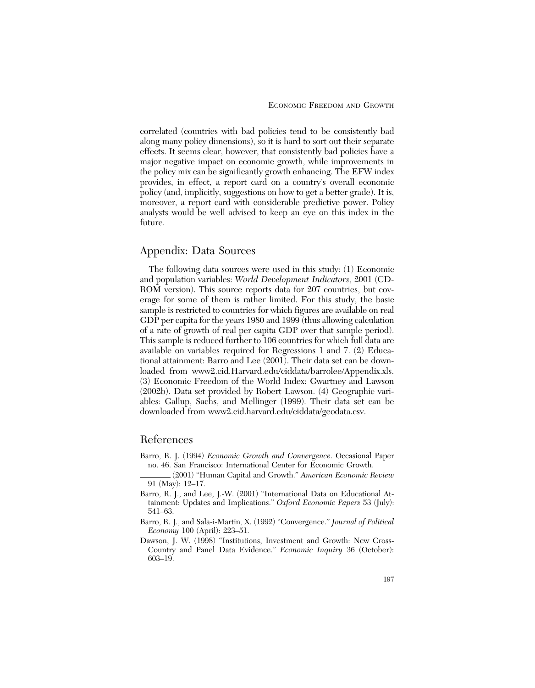correlated (countries with bad policies tend to be consistently bad along many policy dimensions), so it is hard to sort out their separate effects. It seems clear, however, that consistently bad policies have a major negative impact on economic growth, while improvements in the policy mix can be significantly growth enhancing. The EFW index provides, in effect, a report card on a country's overall economic policy (and, implicitly, suggestions on how to get a better grade). It is, moreover, a report card with considerable predictive power. Policy analysts would be well advised to keep an eye on this index in the future.

# Appendix: Data Sources

The following data sources were used in this study: (1) Economic and population variables: *World Development Indicators*, 2001 (CD-ROM version). This source reports data for 207 countries, but coverage for some of them is rather limited. For this study, the basic sample is restricted to countries for which figures are available on real GDP per capita for the years 1980 and 1999 (thus allowing calculation of a rate of growth of real per capita GDP over that sample period). This sample is reduced further to 106 countries for which full data are available on variables required for Regressions 1 and 7. (2) Educational attainment: Barro and Lee (2001). Their data set can be downloaded from www2.cid.Harvard.edu/ciddata/barrolee/Appendix.xls. (3) Economic Freedom of the World Index: Gwartney and Lawson (2002b). Data set provided by Robert Lawson. (4) Geographic variables: Gallup, Sachs, and Mellinger (1999). Their data set can be downloaded from www2.cid.harvard.edu/ciddata/geodata.csv.

# References

- Barro, R. J. (1994) *Economic Growth and Convergence*. Occasional Paper no. 46. San Francisco: International Center for Economic Growth.
	- (2001) "Human Capital and Growth." *American Economic Review* 91 (May): 12–17.
- Barro, R. J., and Lee, J.-W. (2001) "International Data on Educational Attainment: Updates and Implications." *Oxford Economic Papers* 53 (July): 541–63.
- Barro, R. J., and Sala-i-Martin, X. (1992) "Convergence." *Journal of Political Economy* 100 (April): 223–51.
- Dawson, J. W. (1998) "Institutions, Investment and Growth: New Cross-Country and Panel Data Evidence." *Economic Inquiry* 36 (October): 603–19.